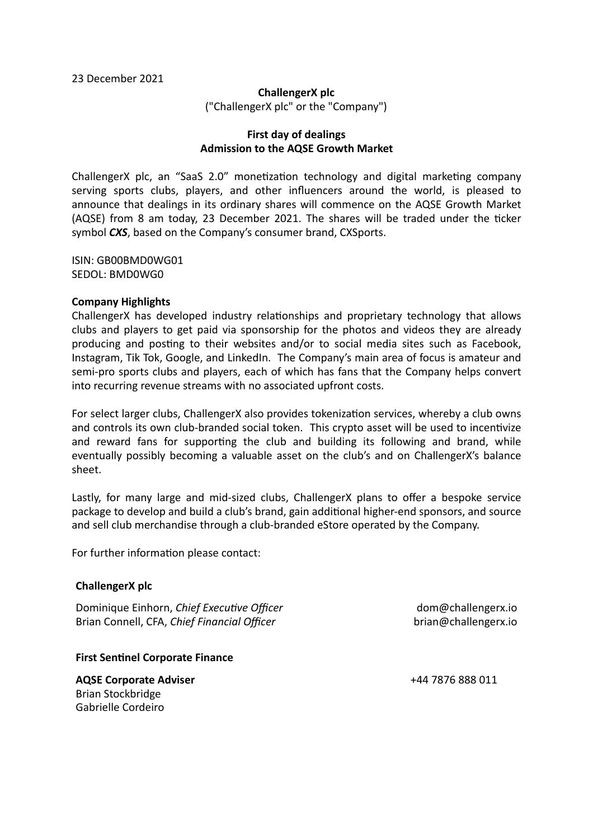#### **ChallengerX plc**

("ChallengerX plc" or the "Company")

# **First day of dealings Admission to the AQSE Growth Market**

ChallengerX plc, an "SaaS 2.0" monetization technology and digital marketing company serving sports clubs, players, and other influencers around the world, is pleased to announce that dealings in its ordinary shares will commence on the AQSE Growth Market (AQSE) from 8 am today, 23 December 2021. The shares will be traded under the ticker symbol **CXS**, based on the Company's consumer brand, CXSports.

ISIN: GB00BMD0WG01 SEDOL: BMD0WG0

## **Company Highlights**

ChallengerX has developed industry relationships and proprietary technology that allows clubs and players to get paid via sponsorship for the photos and videos they are already producing and posting to their websites and/or to social media sites such as Facebook. Instagram, Tik Tok, Google, and LinkedIn. The Company's main area of focus is amateur and semi-pro sports clubs and players, each of which has fans that the Company helps convert into recurring revenue streams with no associated upfront costs.

For select larger clubs, ChallengerX also provides tokenization services, whereby a club owns and controls its own club-branded social token. This crypto asset will be used to incentivize and reward fans for supporting the club and building its following and brand, while eventually possibly becoming a valuable asset on the club's and on ChallengerX's balance sheet.

Lastly, for many large and mid-sized clubs, ChallengerX plans to offer a bespoke service package to develop and build a club's brand, gain additional higher-end sponsors, and source and sell club merchandise through a club-branded eStore operated by the Company.

For further information please contact:

## **ChallengerX plc**

Dominique Einhorn, *Chief Executive Officer* Brian Connell, CFA, *Chief Financial Officer* 

dom@challengerx.io brian@challengerx.io

## **First Sentinel Corporate Finance**

**AQSE Corporate Adviser** Brian Stockbridge Gabrielle Cordeiro

+44 7876 888 011